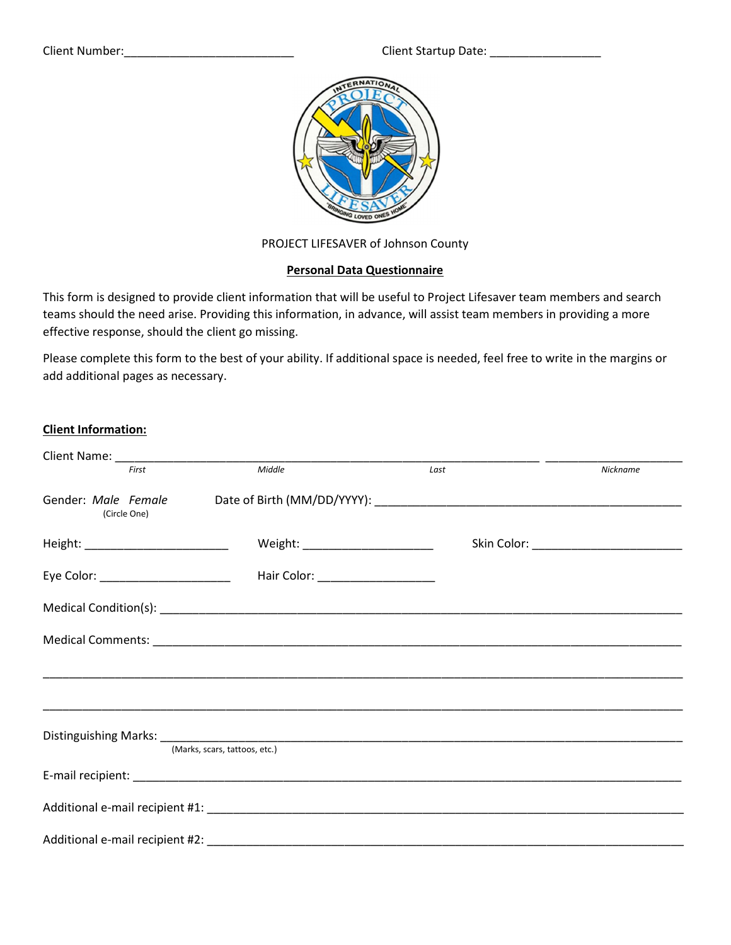Client Number:\_\_\_\_\_\_\_\_\_\_\_\_\_\_\_\_\_\_\_\_\_\_\_\_\_\_ Client Startup Date: \_\_\_\_\_\_\_\_\_\_\_\_\_\_\_\_\_



PROJECT LIFESAVER of Johnson County

## Personal Data Questionnaire

This form is designed to provide client information that will be useful to Project Lifesaver team members and search teams should the need arise. Providing this information, in advance, will assist team members in providing a more effective response, should the client go missing.

Please complete this form to the best of your ability. If additional space is needed, feel free to write in the margins or add additional pages as necessary.

## Client Information:

|                                        |                                    | __ ______ |                                            |
|----------------------------------------|------------------------------------|-----------|--------------------------------------------|
| First                                  | Middle                             | Last      | Nickname                                   |
| (Circle One)                           |                                    |           |                                            |
| Height: ___________________________    | Weight: ________________________   |           | Skin Color: ______________________________ |
| Eye Color: ___________________________ | Hair Color: ______________________ |           |                                            |
|                                        |                                    |           |                                            |
|                                        |                                    |           |                                            |
|                                        |                                    |           |                                            |
|                                        |                                    |           |                                            |
|                                        |                                    |           |                                            |
|                                        | (Marks, scars, tattoos, etc.)      |           |                                            |
|                                        |                                    |           |                                            |
|                                        |                                    |           |                                            |
|                                        |                                    |           |                                            |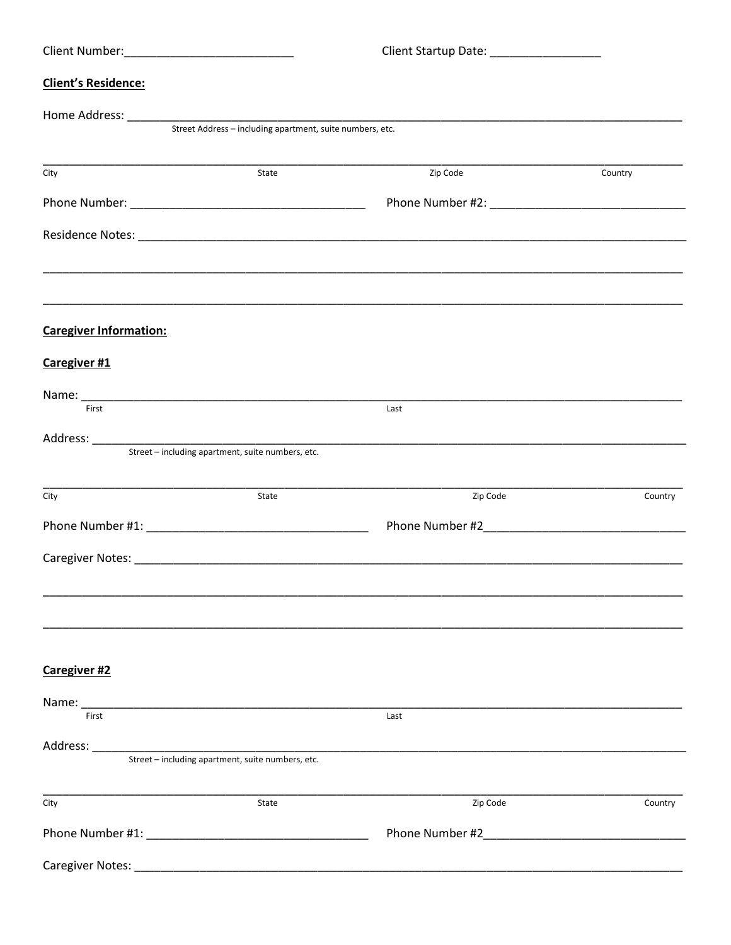|                               |                                                           | Client Startup Date: ___________________ |         |
|-------------------------------|-----------------------------------------------------------|------------------------------------------|---------|
| <b>Client's Residence:</b>    |                                                           |                                          |         |
|                               |                                                           |                                          |         |
|                               | Street Address - including apartment, suite numbers, etc. |                                          |         |
| City                          | State                                                     | Zip Code                                 | Country |
|                               |                                                           |                                          |         |
|                               |                                                           |                                          |         |
| <b>Caregiver Information:</b> |                                                           |                                          |         |
| Caregiver #1                  |                                                           |                                          |         |
| First                         |                                                           | Last                                     |         |
|                               | Street – including apartment, suite numbers, etc.         |                                          |         |
| City                          | State                                                     | Zip Code                                 | Country |
|                               |                                                           |                                          |         |
|                               |                                                           |                                          |         |
|                               |                                                           |                                          |         |
| Caregiver #2                  |                                                           |                                          |         |
|                               |                                                           |                                          |         |
| First                         |                                                           | Last                                     |         |
|                               | Street - including apartment, suite numbers, etc.         |                                          |         |
| City                          | State                                                     | Zip Code                                 | Country |
|                               |                                                           | Phone Number #2 Phone 2014               |         |
|                               |                                                           |                                          |         |